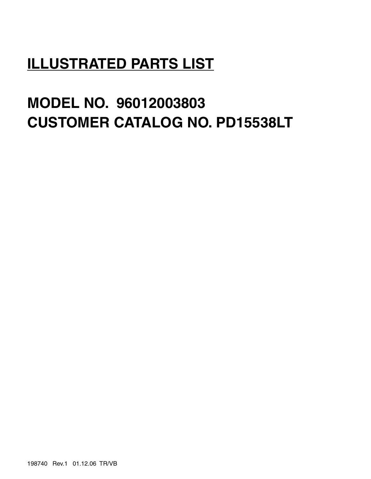## **ILLUSTRATED PARTS LIST**

# **MODEL NO. 96012003803 CUSTOMER CATALOG NO. PD15538LT**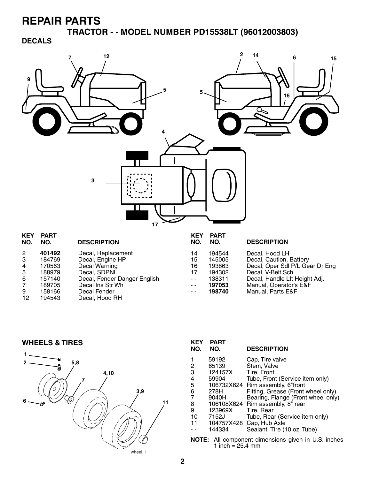**TRACTOR - - MODEL NUMBER PD15538LT (96012003803)**

**DECALS**



| NO.            | KEY PARI<br>NO. | <b>DESCRIPTION</b>           | NO.  | KEY PARI<br>NO. | <b>DESCRIPTION</b>              |
|----------------|-----------------|------------------------------|------|-----------------|---------------------------------|
| $\overline{2}$ | 401492          | Decal, Replacement           | 14   | 194544          | Decal, Hood LH                  |
| 3              | 184769          | Decal, Engine HP             | 15   | 145005          | Decal, Caution, Battery         |
| 4              | 170563          | Decal Warning                | 16   | 193863          | Decal, Oper Sdl P/L Gear Dr Eng |
| 5              | 188979          | Decal, SDPNL                 | 17   | 194302          | Decal, V-Belt Sch.              |
| -6             | 157140          | Decal, Fender Danger English | $ -$ | 138311          | Decal, Handle Lft Height Adj.   |
| 7              | 189705          | Decal Ins Str Wh             | $ -$ | 197053          | Manual, Operator's E&F          |
| 9              | 158166          | Decal Fender                 | $ -$ | 198740          | Manual, Parts E&F               |
| 12             | 194543          | Decal, Hood RH               |      |                 |                                 |
|                |                 |                              |      |                 |                                 |

**WHEELS & TIRES**



| KEY<br>NO.                                            | <b>PART</b><br>NO. | <b>DESCRIPTION</b>                 |  |
|-------------------------------------------------------|--------------------|------------------------------------|--|
| 1                                                     | 59192              | Cap, Tire valve                    |  |
|                                                       | 65139              | Stem, Valve                        |  |
| $\frac{2}{3}$                                         | 124157X            | Tire, Front                        |  |
| $\frac{4}{5}$                                         | 59904              | Tube, Front (Service item only)    |  |
|                                                       |                    | 106732X624 Rim assembly, 6"front   |  |
| $\frac{6}{7}$                                         | 278H               | Fitting, Grease (Front wheel only) |  |
|                                                       | 9040H              | Bearing, Flange (Front wheel only) |  |
| 8                                                     |                    | 106108X624 Rim assembly, 8" rear   |  |
| 9                                                     | 123969X            | Tire, Rear                         |  |
| 10                                                    | 7152J              | Tube, Rear (Service item only)     |  |
| 11                                                    | 104757X428         | Cap, Hub Axle                      |  |
|                                                       | 144334             | Sealant, Tire (10 oz. Tube)        |  |
| All component dimensions given in U.S. inche<br>NOTE: |                    |                                    |  |

**NOTE:** All component dimensions given in U.S. inches 1 inch =  $25.4 \, \text{mm}$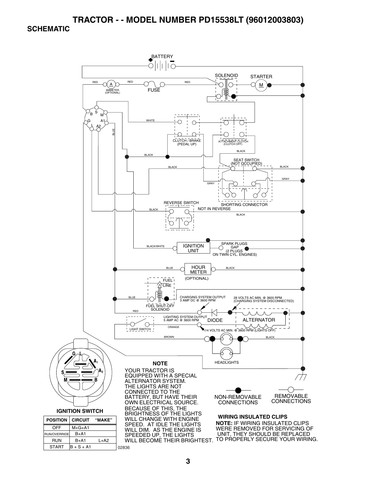### **TRACTOR - - MODEL NUMBER PD15538LT (96012003803)**

#### **SCHEMATIC**

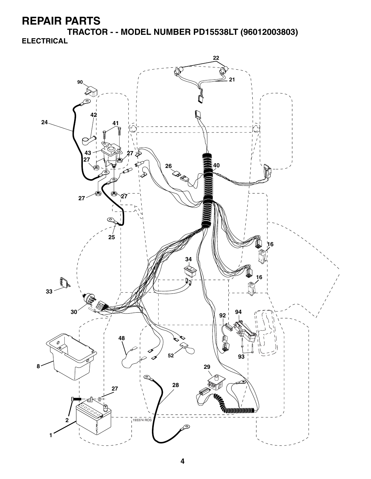**TRACTOR - - MODEL NUMBER PD15538LT (96012003803) ELECTRICAL**

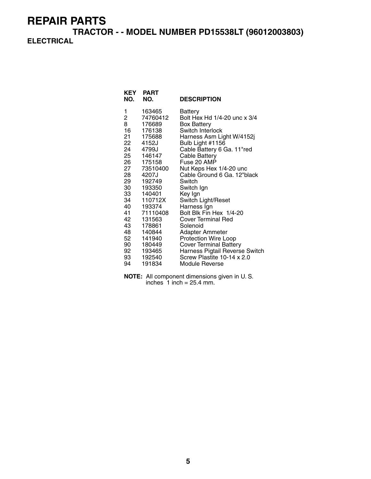**TRACTOR - - MODEL NUMBER PD15538LT (96012003803) ELECTRICAL**

| KEY<br>NO. | <b>PART</b><br>NO. | <b>DESCRIPTION</b>             |
|------------|--------------------|--------------------------------|
| 1          | 163465             | Battery                        |
| 2          | 74760412           | Bolt Hex Hd 1/4-20 unc x 3/4   |
| 8          | 176689             | Box Battery                    |
| 16         | 176138             | Switch Interlock               |
| 21         | 175688             | Harness Asm Light W/4152j      |
| 22         | 4152J              | Bulb Light #1156               |
| 24         | 4799J              | Cable Battery 6 Ga. 11"red     |
| 25         | 146147             | Cable Battery                  |
| 26         | 175158             | Fuse 20 AMP                    |
| 27         | 73510400           | Nut Keps Hex 1/4-20 unc        |
| 28         | 4207J              | Cable Ground 6 Ga. 12"black    |
| 29         | 192749             | Switch                         |
| 30         | 193350             | Switch Ign                     |
| 33         | 140401             | Key Ign                        |
| 34         | 110712X            | Switch Light/Reset             |
| 40         | 193374             | Harness Ign                    |
| 41         | 71110408           | Bolt Blk Fin Hex 1/4-20        |
| 42         | 131563             | <b>Cover Terminal Red</b>      |
| 43         | 178861             | Solenoid                       |
| 48         | 140844             | Adapter Ammeter                |
| 52         | 141940             | <b>Protection Wire Loop</b>    |
| 90         | 180449             | <b>Cover Terminal Battery</b>  |
| 92         | 193465             | Harness Pigtail Reverse Switch |
| 93         | 192540             | Screw Plastite 10-14 x 2.0     |
| 94         | 191834             | Module Reverse                 |

**NOTE:** All component dimensions given in U. S. inches  $1$  inch = 25.4 mm.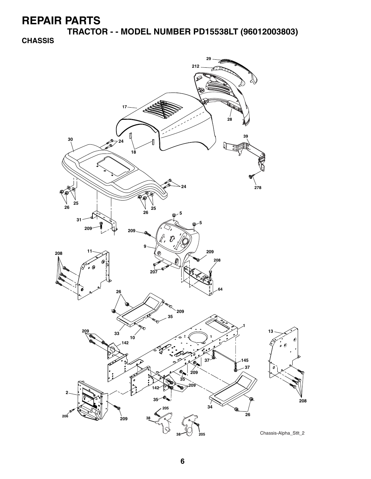**TRACTOR - - MODEL NUMBER PD15538LT (96012003803)**

#### **CHASSIS**

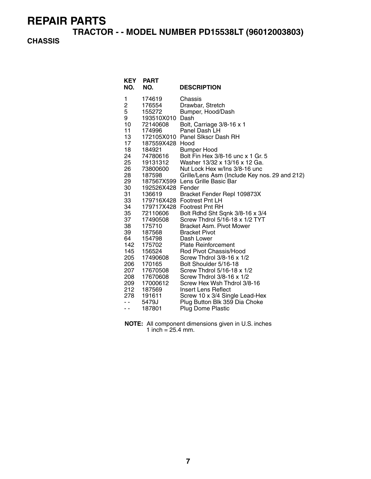**TRACTOR - - MODEL NUMBER PD15538LT (96012003803)**

#### **CHASSIS**

| KEY<br>NO.                                                                                                                                                                                                                     | <b>PART</b><br>NO.                                                                                                                                                                                                                                                                                                                                  | <b>DESCRIPTION</b>                                                                                                                                                                                                                                                                                                                                                                                                                                                                                                                                                                                                                                                                                                                                                                                                                                                                                                   |
|--------------------------------------------------------------------------------------------------------------------------------------------------------------------------------------------------------------------------------|-----------------------------------------------------------------------------------------------------------------------------------------------------------------------------------------------------------------------------------------------------------------------------------------------------------------------------------------------------|----------------------------------------------------------------------------------------------------------------------------------------------------------------------------------------------------------------------------------------------------------------------------------------------------------------------------------------------------------------------------------------------------------------------------------------------------------------------------------------------------------------------------------------------------------------------------------------------------------------------------------------------------------------------------------------------------------------------------------------------------------------------------------------------------------------------------------------------------------------------------------------------------------------------|
| 1<br>$\overline{\mathbf{c}}$<br>5<br>9<br>10<br>11<br>13<br>17<br>18<br>24<br>25<br>26<br>28<br>29<br>30<br>31<br>33<br>34<br>35<br>37<br>38<br>39<br>64<br>142<br>145<br>205<br>206<br>207<br>208<br>209<br>212<br>278<br>. . | 174619<br>176554<br>155272<br>193510X010<br>72140608<br>174996<br>187559X428 Hood<br>184921<br>74780616<br>19131312<br>73800600<br>187598<br>192526X428 Fender<br>136619<br>72110606<br>17490508<br>175710<br>187568<br>154798<br>175702<br>156524<br>17490608<br>170165<br>17670508<br>17670608<br>17000612<br>187569<br>191611<br>5479J<br>187801 | Chassis<br>Drawbar, Stretch<br>Bumper, Hood/Dash<br>Dash<br>Bolt, Carriage 3/8-16 x 1<br>Panel Dash LH<br>172105X010 Panel Slkscr Dash RH<br><b>Bumper Hood</b><br>Bolt Fin Hex 3/8-16 unc x 1 Gr. 5<br>Washer 13/32 x 13/16 x 12 Ga.<br>Nut Lock Hex w/Ins 3/8-16 unc<br>Grille/Lens Asm (Include Key nos. 29 and 212)<br>187567X599 Lens Grille Basic Bar<br>Bracket Fender Repl 109873X<br>179716X428 Footrest Pnt LH<br>179717X428 Footrest Pnt RH<br>Bolt Rdhd Sht Sqnk 3/8-16 x 3/4<br>Screw Thdrol 5/16-18 x 1/2 TYT<br>Bracket Asm. Pivot Mower<br><b>Bracket Pivot</b><br>Dash Lower<br><b>Plate Reinforcement</b><br>Rod Pivot Chassis/Hood<br>Screw Thdrol 3/8-16 x 1/2<br>Bolt Shoulder 5/16-18<br>Screw Thdrol 5/16-18 x 1/2<br>Screw Thdrol 3/8-16 x 1/2<br>Screw Hex Wsh Thdrol 3/8-16<br>Insert Lens Reflect<br>Screw 10 x 3/4 Single Lead-Hex<br>Plug Button Blk 359 Dia Choke<br>Plug Dome Plastic |

**NOTE:** All component dimensions given in U.S. inches 1 inch =  $25.4$  mm.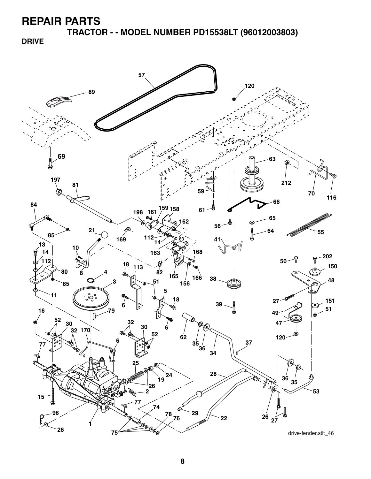**TRACTOR - - MODEL NUMBER PD15538LT (96012003803)**

**DRIVE**

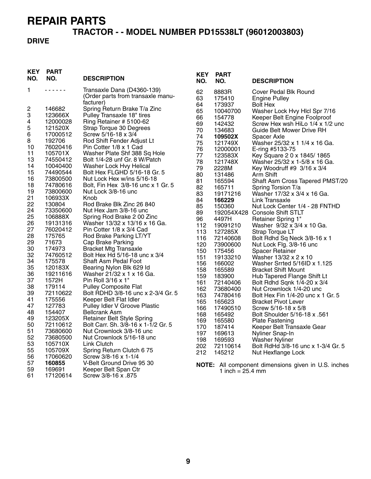## **TRACTOR - - MODEL NUMBER PD15538LT (96012003803)**

#### **DRIVE**

| <b>KEY</b><br>NO. | <b>PART</b><br>NO. | <b>DESCRIPTION</b>                                            | <b>KEY</b><br>NO. | <b>PART</b><br>NO.         | <b>DESCRIPTION</b>                                  |
|-------------------|--------------------|---------------------------------------------------------------|-------------------|----------------------------|-----------------------------------------------------|
| 1                 | .                  | Transaxle Dana (D4360-139)                                    | 62                | 8883R                      | <b>Cover Pedal Blk Round</b>                        |
|                   |                    | (Order parts from transaxle manu-                             | 63                | 175410                     | <b>Engine Pulley</b>                                |
|                   |                    | facturer)                                                     | 64                | 173937                     | <b>Bolt Hex</b>                                     |
| 2                 | 146682             | Spring Return Brake T/a Zinc                                  | 65                | 10040700                   | Washer Lock Hvy Hlcl Spr 7/16                       |
| 3                 | 123666X            | Pulley Transaxle 18" tires                                    | 66                | 154778                     | Keeper Belt Engine Foolproof                        |
| 4                 | 12000028           | Ring Retainer # 5100-62                                       | 69                | 142432                     | Screw Hex wsh HiLo 1/4 x 1/2 unc                    |
| 5                 | 121520X            | Strap Torque 30 Degrees                                       | 70                | 134683                     | Guide Belt Mower Drive RH                           |
| 6                 | 17000512           | Screw 5/16-18 x 3/4                                           | 74                | 109502X                    | Spacer Axle                                         |
| 8                 | 192706             | Rod Shift Fender Adjust Lt                                    | 75                | 121749X                    | Washer 25/32 x 1 1/4 x 16 Ga.                       |
| 10                | 76020416           | Pin Cotter 1/8 x 1 Cad                                        | 76                | 12000001                   | E-ring #5133-75                                     |
| 11                | 105701X            | Washer Plate Shf 388 Sq Hole                                  | 77                | 123583X                    | Key Square 2 0 x 1845/1865                          |
| 13                | 74550412           | Bolt 1/4-28 unf Gr. 8 W/Patch                                 | 78                | 121748X                    | Washer 25/32 x 1-5/8 x 16 Ga.                       |
| 14                | 10040400           | Washer Lock Hvy Helical                                       | 79                | 2228M                      | Key Woodruff #9 3/16 x 3/4                          |
| 15                | 74490544           | Bolt Hex FLGHD 5/16-18 Gr. 5                                  | 80                | 131486                     | Arm Shift                                           |
| 16                | 73800500           | Nut Lock Hex w/ins 5/16-18                                    | 81                | 165594                     | Shaft Asm Cross Tapered PMST/20                     |
| 18                | 74780616           | Bolt, Fin Hex 3/8-16 unc x 1 Gr. 5                            | 82                | 165711                     | Spring Torsion T/a                                  |
| 19                | 73800600           | Nut Lock 3/8-16 unc                                           | 83                | 19171216                   | Washer 17/32 x 3/4 x 16 Ga.                         |
| 21                | 106933X            | Knob                                                          | 84                | 166229                     | Link Transaxle                                      |
| 22                | 130804             | Rod Brake Blk Zinc 26 840                                     | 85                | 150360                     | Nut Lock Center 1/4 - 28 FNTHD                      |
| 24                | 73350600           | Nut Hex Jam 3/8-16 unc                                        | 89                |                            | 192054X428 Console Shift STLT                       |
| 25                | 106888X            | Spring Rod Brake 2 00 Zinc                                    | 96                | 4497H                      | Retainer Spring 1"                                  |
| 26                | 19131316           | Washer 13/32 x 13/16 x 16 Ga.                                 | 112               | 19091210                   | Washer 9/32 x 3/4 x 10 Ga.                          |
| 27                | 76020412           | Pin Cotter 1/8 x 3/4 Cad                                      | 113               | 127285X                    | Strap Torque LT                                     |
| 28<br>29          | 175765<br>71673    | Rod Brake Parking LT/YT                                       | 116               | 72140608                   | Bolt Rdhd Sq Neck 3/8-16 x 1                        |
| 30                |                    | Cap Brake Parking                                             | 120               | 73900600                   | Nut Lock Flg. 3/8-16 unc                            |
| 32                | 174973<br>74760512 | <b>Bracket Mtg Transaxle</b><br>Bolt Hex Hd 5/16-18 unc x 3/4 | 150               | 175456                     | <b>Spacer Retainer</b>                              |
| 34                | 175578             | <b>Shaft Asm Pedal Foot</b>                                   | 151               | 19133210                   | Washer 13/32 x 2 x 10                               |
| 35                | 120183X            |                                                               | 156               | 166002                     | Washer Srrted 5/16ID x 1.125                        |
| 36                | 19211616           | Bearing Nylon Blk 629 Id<br>Washer 21/32 x 1 x 16 Ga.         | 158               | 165589                     | <b>Bracket Shift Mount</b>                          |
| 37                | 1572H              | Pin Roll 3/16 x 1"                                            | 159               | 183900                     | Hub Tapered Flange Shift Lt                         |
| 38                | 179114             | <b>Pulley Composite Flat</b>                                  | 161               | 72140406                   | Bolt Rdhd Sqnk 1/4-20 x 3/4                         |
| 39                | 72110622           | Bolt RDHD 3/8-16 unc x 2-3/4 Gr. 5                            | 162               | 73680400                   | Nut Crownlock 1/4-20 unc                            |
| 41                | 175556             | Keeper Belt Flat Idler                                        | 163               | 74780416                   | Bolt Hex Fin 1/4-20 unc x 1 Gr. 5                   |
| 47                | 127783             | Pulley Idler V Groove Plastic                                 | 165               | 165623                     | <b>Bracket Pivot Lever</b>                          |
| 48                | 154407             | <b>Bellcrank Asm</b>                                          | 166               | 17490510                   | Screw 5/16-18 x 5/8                                 |
| 49                | 123205X            | Retainer Belt Style Spring                                    | 168               | 165492                     | Bolt Shoulder 5/16-18 x .561                        |
| 50                | 72110612           | Bolt Carr. Sh. 3/8-16 x 1-1/2 Gr. 5                           | 169               | 165580                     | <b>Plate Fastening</b>                              |
| 51                | 73680600           | Nut Crownlock 3/8-16 unc                                      | 170               | 187414                     | Keeper Belt Transaxle Gear                          |
| 52                | 73680500           | Nut Crownlock 5/16-18 unc                                     | 197               | 169613                     | Nyliner Snap-In                                     |
| 53                | 105710X            | Link Clutch                                                   | 198<br>202        | 169593<br>72110614         | <b>Washer Nyliner</b>                               |
| 55                | 105709X            | Spring Return Clutch 675                                      |                   |                            | Bolt RdHd 3/8-16 unc x 1-3/4 Gr. 5                  |
| 56                | 17060620           | Screw 3/8-16 x 1-1/4                                          | 212               | 145212                     | Nut Hexflange Lock                                  |
| 57                | 160855             | V-Belt Ground Drive 95 30                                     |                   |                            | NOTE: All component dimensions given in U.S. inches |
| 59                | 169691             | Keeper Belt Span Ctr                                          |                   | 1 inch = $25.4 \text{ mm}$ |                                                     |
| 61                | 17120614           | Screw 3/8-16 x .875                                           |                   |                            |                                                     |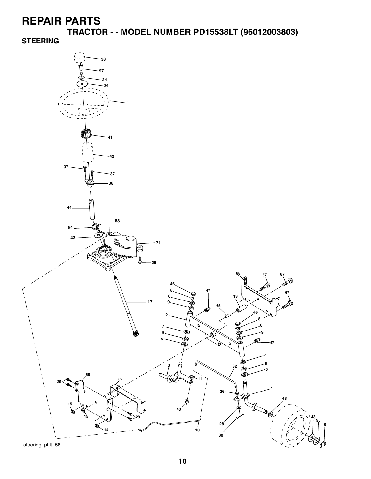**TRACTOR - - MODEL NUMBER PD15538LT (96012003803)**

**STEERING**



steering\_pl.lt\_58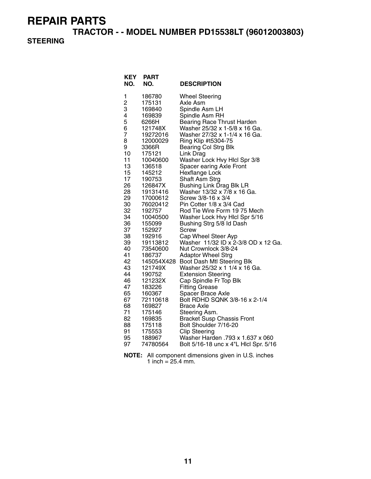**TRACTOR - - MODEL NUMBER PD15538LT (96012003803)**

#### **STEERING**

| <b>KEY</b><br>NO. | PART<br>NO.          | <b>DESCRIPTION</b>                                             |
|-------------------|----------------------|----------------------------------------------------------------|
| 1                 | 186780               | <b>Wheel Steering</b>                                          |
| 2                 | 175131               | Axle Asm                                                       |
| 3                 | 169840               | Spindle Asm LH                                                 |
| 4                 | 169839               | Spindle Asm RH                                                 |
| 5                 | 6266H                | <b>Bearing Race Thrust Harden</b>                              |
| 6<br>7            | 121748X              | Washer 25/32 x 1-5/8 x 16 Ga.<br>Washer 27/32 x 1-1/4 x 16 Ga. |
| 8                 | 19272016<br>12000029 | Ring Klip #t5304-75                                            |
| 9                 | 3366R                | <b>Bearing Col Strg Blk</b>                                    |
| 10                | 175121               | Link Drag                                                      |
| 11                | 10040600             | Washer Lock Hvy Hicl Spr 3/8                                   |
| 13                | 136518               | Spacer earing Axle Front                                       |
| 15                | 145212               | <b>Hexflange Lock</b>                                          |
| 17                | 190753               | Shaft Asm Strg                                                 |
| 26                | 126847X              | <b>Bushing Link Drag Blk LR</b>                                |
| 28                | 19131416             | Washer 13/32 x 7/8 x 16 Ga.                                    |
| 29                | 17000612             | Screw 3/8-16 x 3/4                                             |
| 30                | 76020412             | Pin Cotter 1/8 x 3/4 Cad                                       |
| 32<br>34          | 192757               | Rod Tie Wire Form 19 75 Mech                                   |
| 36                | 10040500<br>155099   | Washer Lock Hvy Hicl Spr 5/16<br>Bushing Strg 5/8 Id Dash      |
| 37                | 152927               | Screw                                                          |
| 38                | 192916               | Cap Wheel Steer Ayp                                            |
| 39                | 19113812             | Washer 11/32 ID x 2-3/8 OD x 12 Ga.                            |
| 40                | 73540600             | Nut Crownlock 3/8-24                                           |
| 41                | 186737               | <b>Adaptor Wheel Strg</b>                                      |
| 42                | 145054X428           | Boot Dash Mtl Steering Blk                                     |
| 43                | 121749X              | Washer 25/32 x 1 1/4 x 16 Ga.                                  |
| 44                | 190752               | <b>Extension Steering</b>                                      |
| 46                | 121232X              | Cap Spindle Fr Top Blk                                         |
| 47                | 183226               | <b>Fitting Grease</b>                                          |
| 65<br>67          | 160367               | Spacer Brace Axle<br>Bolt RDHD SQNK 3/8-16 x 2-1/4             |
| 68                | 72110618<br>169827   | Brace Axle                                                     |
| 71                | 175146               | Steering Asm.                                                  |
| 82                | 169835               | <b>Bracket Susp Chassis Front</b>                              |
| 88                | 175118               | Bolt Shoulder 7/16-20                                          |
| 91                | 175553               | <b>Clip Steering</b>                                           |
| 95                | 188967               | Washer Harden .793 x 1.637 x 060                               |
| 97                | 74780564             | Bolt 5/16-18 unc x 4"L Hicl Spr. 5/16                          |

**NOTE:** All component dimensions given in U.S. inches 1 inch =  $25.4$  mm.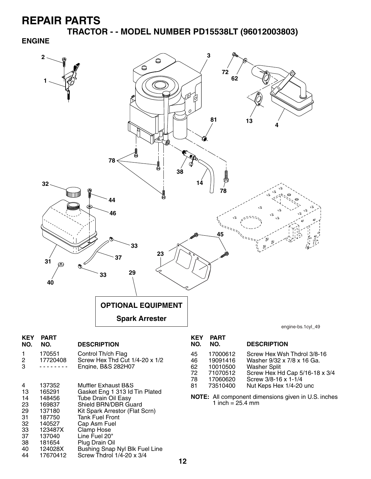**TRACTOR - - MODEL NUMBER PD15538LT (96012003803)**

#### **ENGINE**



- 33 123487X Clamp Hose
	- 37 137040 Line Fuel 20" 38 181654 Plug Drain Oil
	- 40 124028X Bushing Snap Nyl Blk Fuel Line<br>44 17670412 Screw Thdrol 1/4-20 x 3/4
	- Screw Thdrol  $1/\overline{4}$ -20 x 3/4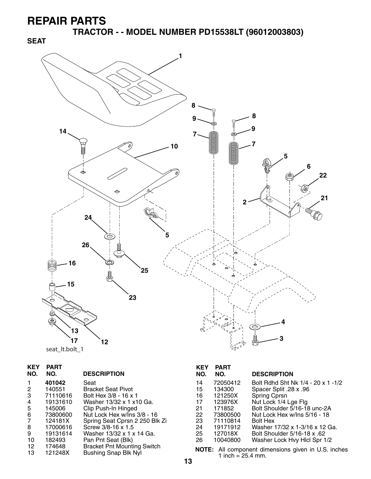**SEAT**

**TRACTOR - - MODEL NUMBER PD15538LT (96012003803)**



|  | seat It.bolt 1 |  |
|--|----------------|--|
|--|----------------|--|

| KEY<br>NO. | PART<br>NO. | <b>DESCRIPTION</b>                 |
|------------|-------------|------------------------------------|
|            | 401042      | Seat                               |
| 2          | 140551      | Bracket Seat Pivot                 |
| 3          | 71110616    | Bolt Hex 3/8 - 16 x 1              |
| 4          | 19131610    | Washer 13/32 x 1 x10 Ga.           |
| 5          | 145006      | Clip Push-In Hinged                |
| 6          | 73800600    | Nut Lock Hex w/Ins 3/8 - 16        |
| 7          | 124181X     | Spring Seat Cprsn 2 250 Blk Zi     |
| 8          | 17000616    | Screw 3/8-16 x 1.5                 |
| 9          | 19131614    | Washer 13/32 x 1 x 14 Ga.          |
| 10         | 182493      | Pan Pnt Seat (Blk)                 |
| 12         | 174648      | <b>Bracket Pnt Mounting Switch</b> |
| 13         | 121248X     | Bushing Snap Blk Nyl               |

#### **KEY PART DESCRIPTION** 14 72050412 Bolt Rdhd Sht Nk 1/4 - 20 x 1 -1/2 15 134300 Spacer Split .28 x .96 16 121250X Spring Cprsn 17 123976X Nut Lock 1/4 Lge Flg

| 21 | 171852   | Bolt Shoulder 5/16-18 unc-2A   |
|----|----------|--------------------------------|
| 22 | 73800500 | Nut Lock Hex w/Ins 5/16 - 18   |
| 23 | 71110814 | <b>Bolt Hex</b>                |
| 24 | 19171912 | Washer 17/32 x 1-3/16 x 12 Ga. |
| 25 | 127018X  | Bolt Shoulder 5/16-18 x .62    |
| 26 | 10040800 | Washer Lock Hvy Hlcl Spr 1/2   |

**NOTE:** All component dimensions given in U.S. inches 1 inch =  $25.4$  mm.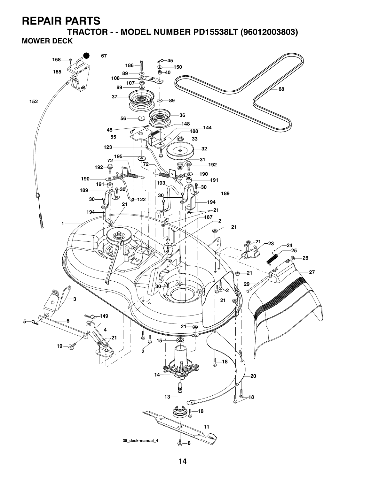**TRACTOR - - MODEL NUMBER PD15538LT (96012003803) MOWER DECK**

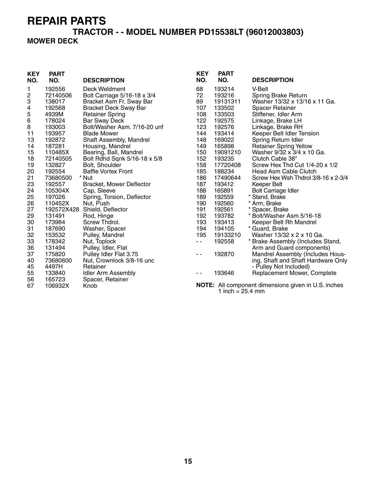### **TRACTOR - - MODEL NUMBER PD15538LT (96012003803)**

#### **MOWER DECK**

| <b>KEY</b><br>NO. | <b>PART</b><br>NO. | <b>DESCRIPTION</b>              | <b>KEY</b><br>NO. | <b>PART</b><br>NO. | <b>DESCRIPTION</b>                                  |
|-------------------|--------------------|---------------------------------|-------------------|--------------------|-----------------------------------------------------|
| 1                 | 192556             | Deck Weldment                   | 68                | 193214             | V-Belt                                              |
| $\overline{c}$    | 72140506           | Bolt Carriage 5/16-18 x 3/4     | 72                | 193216             | Spring Brake Return                                 |
| 3                 | 138017             | Bracket Asm Fr. Sway Bar        | 89                | 19131311           | Washer 13/32 x 13/16 x 11 Ga.                       |
| 4                 | 192568             | <b>Bracket Deck Sway Bar</b>    | 107               | 133502             | <b>Spacer Retainer</b>                              |
| 5                 | 4939M              | <b>Retainer Spring</b>          | 108               | 133503             | Stiffener, Idler Arm                                |
| 6                 | 178024             | <b>Bar Sway Deck</b>            | 122               | 192575             | Linkage, Brake LH                                   |
| 8                 | 193003             | Bolt/Washer Asm. 7/16-20 unf    | 123               | 192576             | Linkage, Brake RH                                   |
| 11                | 193957             | <b>Blade Mower</b>              | 144               | 193414             | Keeper Belt Idler Tension                           |
| 13                | 192872             | Shaft Assembly, Mandrel         | 148               | 169022             | Spring Return Idler                                 |
| 14                | 187281             | Housing, Mandrel                | 149               | 165898             | <b>Retainer Spring Yellow</b>                       |
| 15                | 110485X            | Bearing, Ball, Mandrel          | 150               | 19091210           | Washer 9/32 x 3/4 x 10 Ga.                          |
| 18                | 72140505           | Bolt Rdhd Sqnk 5/16-18 x 5/8    | 152               | 193235             | Clutch Cable 38"                                    |
| 19                | 132827             | Bolt, Shoulder                  | 158               | 17720408           | Screw Hex Thd Cut 1/4-20 x 1/2                      |
| 20                | 192554             | <b>Baffle Vortex Front</b>      | 185               | 188234             | <b>Head Asm Cable Clutch</b>                        |
| 21                | 73680500           | * Nut                           | 186               | 17490644           | Screw Hex Wsh Thdrol 3/8-16 x 2-3/4                 |
| 23                | 192557             | <b>Bracket, Mower Deflector</b> | 187               | 193412             | <b>Keeper Belt</b>                                  |
| 24                | 105304X            | Cap, Sleeve                     | 188               | 165891             | <b>Bolt Carriage Idler</b>                          |
| 25                | 197026             | Spring, Torsion, Deflector      | 189               | 192559             | * Stand, Brake                                      |
| 26                | 110452X            | Nut, Push                       | 190               | 192560             | * Arm, Brake                                        |
| 27                |                    | 192572X428 Shield, Deflector    | 191               | 192561             | * Spacer, Brake                                     |
| 29                | 131491             | Rod, Hinge                      | 192               | 193782             | * Bolt/Washer Asm 5/16-18                           |
| 30                | 173984             | Screw Thdrol.                   | 193               | 193413             | Keeper Belt Rh Mandrel                              |
| 31                | 187690             | Washer, Spacer                  | 194               | 194105             | * Guard, Brake                                      |
| 32                | 153532             | Pulley, Mandrel                 | 195               | 19133210           | Washer 13/32 x 2 x 10 Ga.                           |
| 33                | 178342             | Nut, Toplock                    | $\sim$ $\sim$     | 192558             | * Brake Assembly (Includes Stand,                   |
| 36                | 131494             | Pulley, Idler, Flat             |                   |                    | Arm and Guard components)                           |
| 37                | 175820             | Pulley Idler Flat 3.75          | $ -$              | 192870             | Mandrel Assembly (Includes Hous-                    |
| 40                | 73680600           | Nut, Crownlock 3/8-16 unc       |                   |                    | ing, Shaft and Shaft Hardware Only                  |
| 45                | 4497H              | Retainer                        |                   |                    | - Pulley Not Included)                              |
| 55                | 133840             | <b>Idler Arm Assembly</b>       | $ -$              | 193646             | Replacement Mower, Complete                         |
| 56                | 165723             | Spacer, Retainer                |                   |                    |                                                     |
| 67                | 106932X            | Knob                            |                   | 1 inch = $25.4$ mm | NOTE: All component dimensions given in U.S. inches |